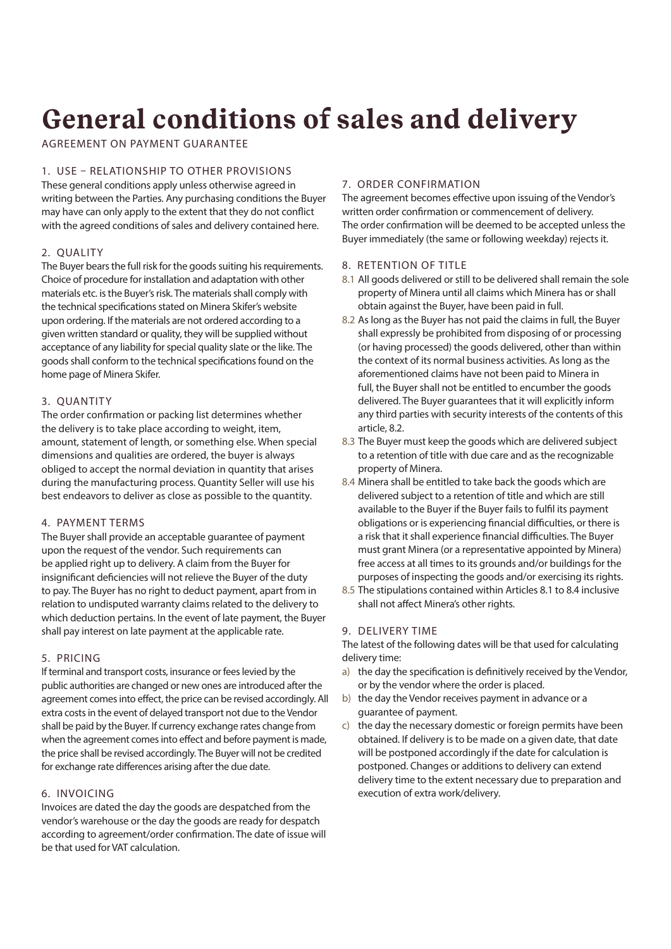# **General conditions of sales and delivery**

AGREEMENT ON PAYMENT GUARANTEE

# 1. USE – RELATIONSHIP TO OTHER PROVISIONS

These general conditions apply unless otherwise agreed in writing between the Parties. Any purchasing conditions the Buyer may have can only apply to the extent that they do not conflict with the agreed conditions of sales and delivery contained here.

# 2. QUALITY

The Buyer bears the full risk for the goods suiting his requirements. Choice of procedure for installation and adaptation with other materials etc. is the Buyer's risk. The materials shall comply with the technical specifications stated on Minera Skifer's website upon ordering. If the materials are not ordered according to a given written standard or quality, they will be supplied without acceptance of any liability for special quality slate or the like. The goods shall conform to the technical specifications found on the home page of Minera Skifer.

# 3. QUANTITY

The order confirmation or packing list determines whether the delivery is to take place according to weight, item, amount, statement of length, or something else. When special dimensions and qualities are ordered, the buyer is always obliged to accept the normal deviation in quantity that arises during the manufacturing process. Quantity Seller will use his best endeavors to deliver as close as possible to the quantity.

# 4. PAYMENT TERMS

The Buyer shall provide an acceptable guarantee of payment upon the request of the vendor. Such requirements can be applied right up to delivery. A claim from the Buyer for insignificant deficiencies will not relieve the Buyer of the duty to pay. The Buyer has no right to deduct payment, apart from in relation to undisputed warranty claims related to the delivery to which deduction pertains. In the event of late payment, the Buyer shall pay interest on late payment at the applicable rate.

# 5. PRICING

If terminal and transport costs, insurance or fees levied by the public authorities are changed or new ones are introduced after the agreement comes into effect, the price can be revised accordingly. All extra costs in the event of delayed transport not due to the Vendor shall be paid by the Buyer. If currency exchange rates change from when the agreement comes into effect and before payment is made, the price shall be revised accordingly. The Buyer will not be credited for exchange rate differences arising after the due date.

# 6. INVOICING

Invoices are dated the day the goods are despatched from the vendor's warehouse or the day the goods are ready for despatch according to agreement/order confirmation. The date of issue will be that used for VAT calculation.

# 7. ORDER CONFIRMATION

The agreement becomes effective upon issuing of the Vendor's written order confirmation or commencement of delivery. The order confirmation will be deemed to be accepted unless the Buyer immediately (the same or following weekday) rejects it.

# 8. RETENTION OF TITLE

- 8.1 All goods delivered or still to be delivered shall remain the sole property of Minera until all claims which Minera has or shall obtain against the Buyer, have been paid in full.
- 8.2 As long as the Buyer has not paid the claims in full, the Buyer shall expressly be prohibited from disposing of or processing (or having processed) the goods delivered, other than within the context of its normal business activities. As long as the aforementioned claims have not been paid to Minera in full, the Buyer shall not be entitled to encumber the goods delivered. The Buyer guarantees that it will explicitly inform any third parties with security interests of the contents of this article, 8.2.
- 8.3 The Buyer must keep the goods which are delivered subject to a retention of title with due care and as the recognizable property of Minera.
- 8.4 Minera shall be entitled to take back the goods which are delivered subject to a retention of title and which are still available to the Buyer if the Buyer fails to fulfil its payment obligations or is experiencing financial difficulties, or there is a risk that it shall experience financial difficulties. The Buyer must grant Minera (or a representative appointed by Minera) free access at all times to its grounds and/or buildings for the purposes of inspecting the goods and/or exercising its rights.
- 8.5 The stipulations contained within Articles 8.1 to 8.4 inclusive shall not affect Minera's other rights.

# 9. DELIVERY TIME

The latest of the following dates will be that used for calculating delivery time:

- a) the day the specification is definitively received by the Vendor, or by the vendor where the order is placed.
- b) the day the Vendor receives payment in advance or a guarantee of payment.
- c) the day the necessary domestic or foreign permits have been obtained. If delivery is to be made on a given date, that date will be postponed accordingly if the date for calculation is postponed. Changes or additions to delivery can extend delivery time to the extent necessary due to preparation and execution of extra work/delivery.